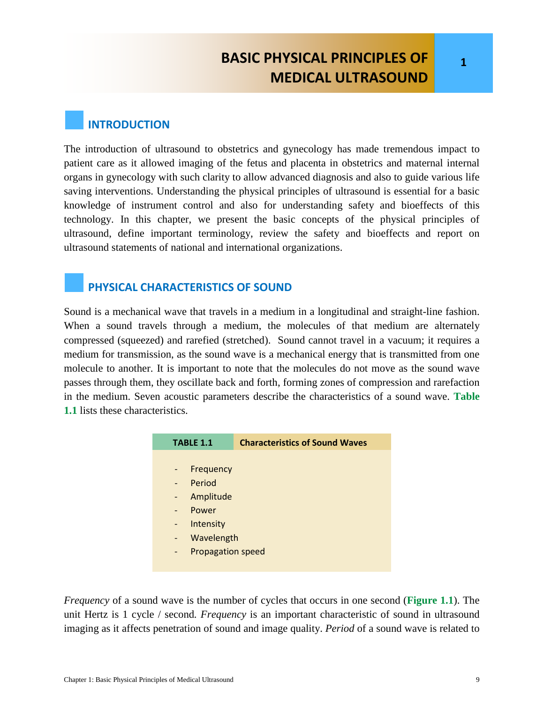# **BASIC PHYSICAL PRINCIPLES OF MEDICAL ULTRASOUND**

# **INTRODUCTION**

The introduction of ultrasound to obstetrics and gynecology has made tremendous impact to patient care as it allowed imaging of the fetus and placenta in obstetrics and maternal internal organs in gynecology with such clarity to allow advanced diagnosis and also to guide various life saving interventions. Understanding the physical principles of ultrasound is essential for a basic knowledge of instrument control and also for understanding safety and bioeffects of this technology. In this chapter, we present the basic concepts of the physical principles of ultrasound, define important terminology, review the safety and bioeffects and report on ultrasound statements of national and international organizations.

# **PHYSICAL CHARACTERISTICS OF SOUND**

Sound is a mechanical wave that travels in a medium in a longitudinal and straight-line fashion. When a sound travels through a medium, the molecules of that medium are alternately compressed (squeezed) and rarefied (stretched). Sound cannot travel in a vacuum; it requires a medium for transmission, as the sound wave is a mechanical energy that is transmitted from one molecule to another. It is important to note that the molecules do not move as the sound wave passes through them, they oscillate back and forth, forming zones of compression and rarefaction in the medium. Seven acoustic parameters describe the characteristics of a sound wave. **Table 1.1** lists these characteristics.



*Frequency* of a sound wave is the number of cycles that occurs in one second (**Figure 1.1**). The unit Hertz is 1 cycle / second*. Frequency* is an important characteristic of sound in ultrasound imaging as it affects penetration of sound and image quality. *Period* of a sound wave is related to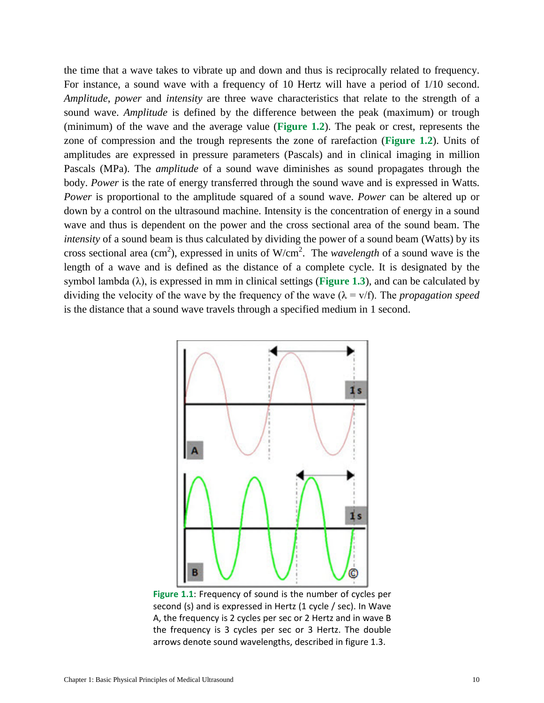the time that a wave takes to vibrate up and down and thus is reciprocally related to frequency. For instance, a sound wave with a frequency of 10 Hertz will have a period of 1/10 second. *Amplitude*, *power* and *intensity* are three wave characteristics that relate to the strength of a sound wave. *Amplitude* is defined by the difference between the peak (maximum) or trough (minimum) of the wave and the average value (**Figure 1.2**). The peak or crest, represents the zone of compression and the trough represents the zone of rarefaction (**Figure 1.2**). Units of amplitudes are expressed in pressure parameters (Pascals) and in clinical imaging in million Pascals (MPa). The *amplitude* of a sound wave diminishes as sound propagates through the body. *Power* is the rate of energy transferred through the sound wave and is expressed in Watts*. Power* is proportional to the amplitude squared of a sound wave. *Power* can be altered up or down by a control on the ultrasound machine. Intensity is the concentration of energy in a sound wave and thus is dependent on the power and the cross sectional area of the sound beam. The *intensity* of a sound beam is thus calculated by dividing the power of a sound beam (Watts) by its cross sectional area  $(cm^2)$ , expressed in units of W/cm<sup>2</sup>. The *wavelength* of a sound wave is the length of a wave and is defined as the distance of a complete cycle. It is designated by the symbol lambda  $(\lambda)$ , is expressed in mm in clinical settings (**Figure 1.3**), and can be calculated by dividing the velocity of the wave by the frequency of the wave  $(\lambda = v/f)$ . The *propagation speed* is the distance that a sound wave travels through a specified medium in 1 second.



**Figure 1.1**: Frequency of sound is the number of cycles per second (s) and is expressed in Hertz (1 cycle / sec). In Wave A, the frequency is 2 cycles per sec or 2 Hertz and in wave B the frequency is 3 cycles per sec or 3 Hertz. The double arrows denote sound wavelengths, described in figure 1.3.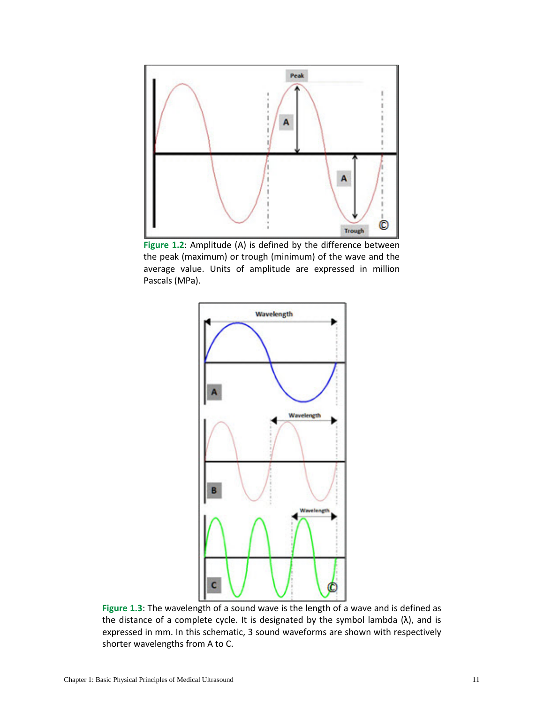

**Figure 1.2**: Amplitude (A) is defined by the difference between the peak (maximum) or trough (minimum) of the wave and the average value. Units of amplitude are expressed in million Pascals (MPa).



**Figure 1.3**: The wavelength of a sound wave is the length of a wave and is defined as the distance of a complete cycle. It is designated by the symbol lambda  $(\lambda)$ , and is expressed in mm. In this schematic, 3 sound waveforms are shown with respectively shorter wavelengths from A to C.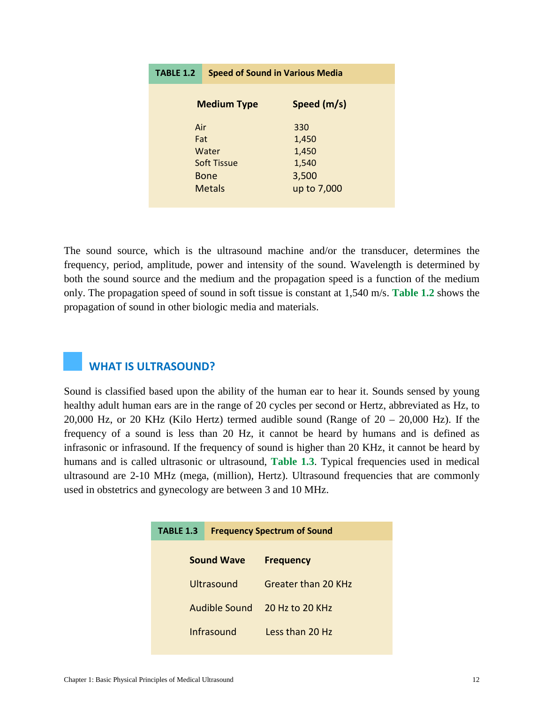| <b>TABLE 1.2</b> | <b>Speed of Sound in Various Media</b> |             |  |
|------------------|----------------------------------------|-------------|--|
|                  | <b>Medium Type</b>                     | Speed (m/s) |  |
| Air              |                                        | 330         |  |
| Fat              |                                        | 1,450       |  |
|                  | Water                                  | 1,450       |  |
|                  | Soft Tissue                            | 1,540       |  |
|                  | Bone                                   | 3,500       |  |
|                  | <b>Metals</b>                          | up to 7,000 |  |

The sound source, which is the ultrasound machine and/or the transducer, determines the frequency, period, amplitude, power and intensity of the sound. Wavelength is determined by both the sound source and the medium and the propagation speed is a function of the medium only. The propagation speed of sound in soft tissue is constant at 1,540 m/s. **Table 1.2** shows the propagation of sound in other biologic media and materials.

# **WHAT IS ULTRASOUND?**

Sound is classified based upon the ability of the human ear to hear it. Sounds sensed by young healthy adult human ears are in the range of 20 cycles per second or Hertz, abbreviated as Hz, to 20,000 Hz, or 20 KHz (Kilo Hertz) termed audible sound (Range of  $20 - 20,000$  Hz). If the frequency of a sound is less than 20 Hz, it cannot be heard by humans and is defined as infrasonic or infrasound. If the frequency of sound is higher than 20 KHz, it cannot be heard by humans and is called ultrasonic or ultrasound, **Table 1.3**. Typical frequencies used in medical ultrasound are 2-10 MHz (mega, (million), Hertz). Ultrasound frequencies that are commonly used in obstetrics and gynecology are between 3 and 10 MHz.

| TABLE 1.3 | <b>Frequency Spectrum of Sound</b> |                     |  |
|-----------|------------------------------------|---------------------|--|
|           | <b>Sound Wave</b>                  | <b>Frequency</b>    |  |
|           | Ultrasound                         | Greater than 20 KHz |  |
|           | Audible Sound                      | 20 Hz to 20 KHz     |  |
|           | Infrasound                         | Less than 20 Hz     |  |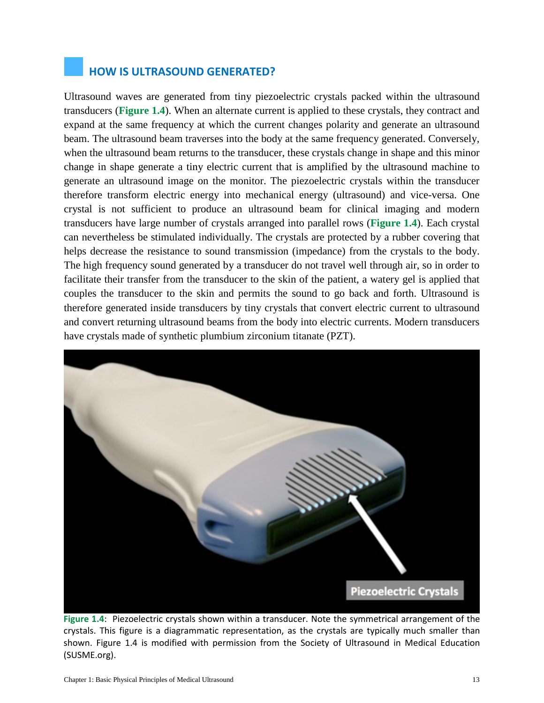# **HOW IS ULTRASOUND GENERATED?**

Ultrasound waves are generated from tiny piezoelectric crystals packed within the ultrasound transducers (**Figure 1.4**). When an alternate current is applied to these crystals, they contract and expand at the same frequency at which the current changes polarity and generate an ultrasound beam. The ultrasound beam traverses into the body at the same frequency generated. Conversely, when the ultrasound beam returns to the transducer, these crystals change in shape and this minor change in shape generate a tiny electric current that is amplified by the ultrasound machine to generate an ultrasound image on the monitor. The piezoelectric crystals within the transducer therefore transform electric energy into mechanical energy (ultrasound) and vice-versa. One crystal is not sufficient to produce an ultrasound beam for clinical imaging and modern transducers have large number of crystals arranged into parallel rows (**Figure 1.4**). Each crystal can nevertheless be stimulated individually. The crystals are protected by a rubber covering that helps decrease the resistance to sound transmission (impedance) from the crystals to the body. The high frequency sound generated by a transducer do not travel well through air, so in order to facilitate their transfer from the transducer to the skin of the patient, a watery gel is applied that couples the transducer to the skin and permits the sound to go back and forth. Ultrasound is therefore generated inside transducers by tiny crystals that convert electric current to ultrasound and convert returning ultrasound beams from the body into electric currents. Modern transducers have crystals made of synthetic plumbium zirconium titanate (PZT).



**Figure 1.4**: Piezoelectric crystals shown within a transducer. Note the symmetrical arrangement of the crystals. This figure is a diagrammatic representation, as the crystals are typically much smaller than shown. Figure 1.4 is modified with permission from the Society of Ultrasound in Medical Education (SUSME.org).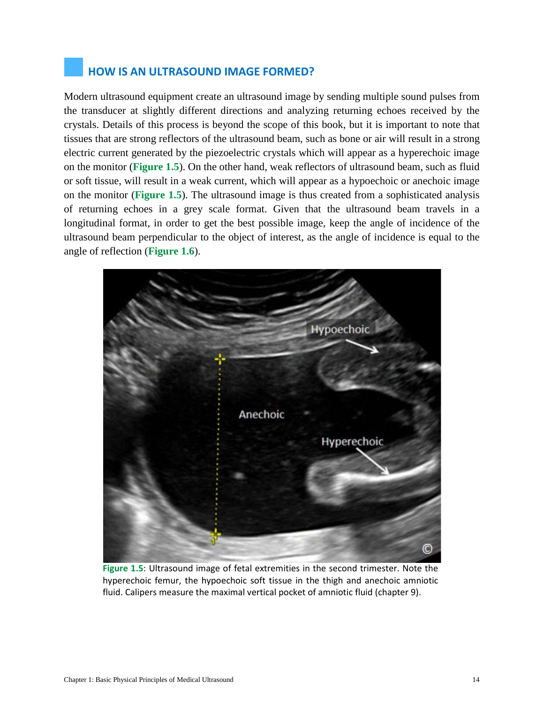# **HOW IS AN ULTRASOUND IMAGE FORMED?**

Modern ultrasound equipment create an ultrasound image by sending multiple sound pulses from the transducer at slightly different directions and analyzing returning echoes received by the crystals. Details of this process is beyond the scope of this book, but it is important to note that tissues that are strong reflectors of the ultrasound beam, such as bone or air will result in a strong electric current generated by the piezoelectric crystals which will appear as a hyperechoic image on the monitor (**Figure 1.5**). On the other hand, weak reflectors of ultrasound beam, such as fluid or soft tissue, will result in a weak current, which will appear as a hypoechoic or anechoic image on the monitor (**Figure 1.5**). The ultrasound image is thus created from a sophisticated analysis of returning echoes in a grey scale format. Given that the ultrasound beam travels in a longitudinal format, in order to get the best possible image, keep the angle of incidence of the ultrasound beam perpendicular to the object of interest, as the angle of incidence is equal to the angle of reflection (**Figure 1.6**).



**Figure 1.5**: Ultrasound image of fetal extremities in the second trimester. Note the hyperechoic femur, the hypoechoic soft tissue in the thigh and anechoic amniotic fluid. Calipers measure the maximal vertical pocket of amniotic fluid (chapter 9).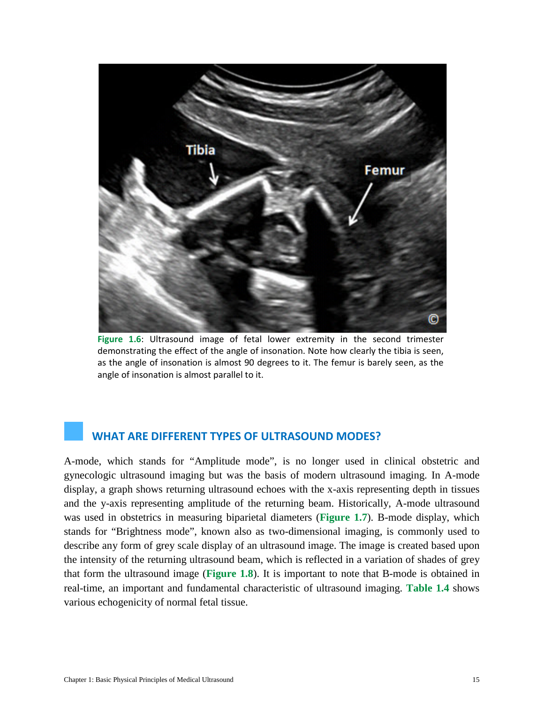

**Figure 1.6**: Ultrasound image of fetal lower extremity in the second trimester demonstrating the effect of the angle of insonation. Note how clearly the tibia is seen, as the angle of insonation is almost 90 degrees to it. The femur is barely seen, as the angle of insonation is almost parallel to it.

### **WHAT ARE DIFFERENT TYPES OF ULTRASOUND MODES?**

A-mode, which stands for "Amplitude mode", is no longer used in clinical obstetric and gynecologic ultrasound imaging but was the basis of modern ultrasound imaging. In A-mode display, a graph shows returning ultrasound echoes with the x-axis representing depth in tissues and the y-axis representing amplitude of the returning beam. Historically, A-mode ultrasound was used in obstetrics in measuring biparietal diameters (**Figure 1.7**). B-mode display, which stands for "Brightness mode", known also as two-dimensional imaging, is commonly used to describe any form of grey scale display of an ultrasound image. The image is created based upon the intensity of the returning ultrasound beam, which is reflected in a variation of shades of grey that form the ultrasound image (**Figure 1.8**). It is important to note that B-mode is obtained in real-time, an important and fundamental characteristic of ultrasound imaging. **Table 1.4** shows various echogenicity of normal fetal tissue.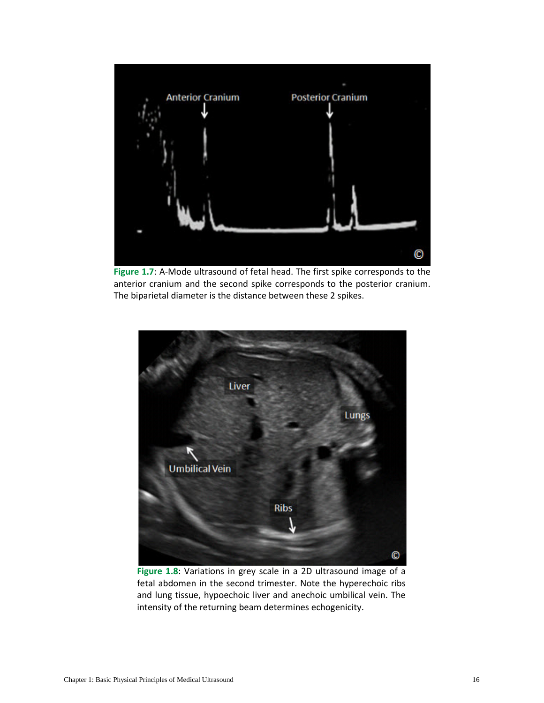

**Figure 1.7**: A-Mode ultrasound of fetal head. The first spike corresponds to the anterior cranium and the second spike corresponds to the posterior cranium. The biparietal diameter is the distance between these 2 spikes.



Figure 1.8: Variations in grey scale in a 2D ultrasound image of a fetal abdomen in the second trimester. Note the hyperechoic ribs and lung tissue, hypoechoic liver and anechoic umbilical vein. The intensity of the returning beam determines echogenicity.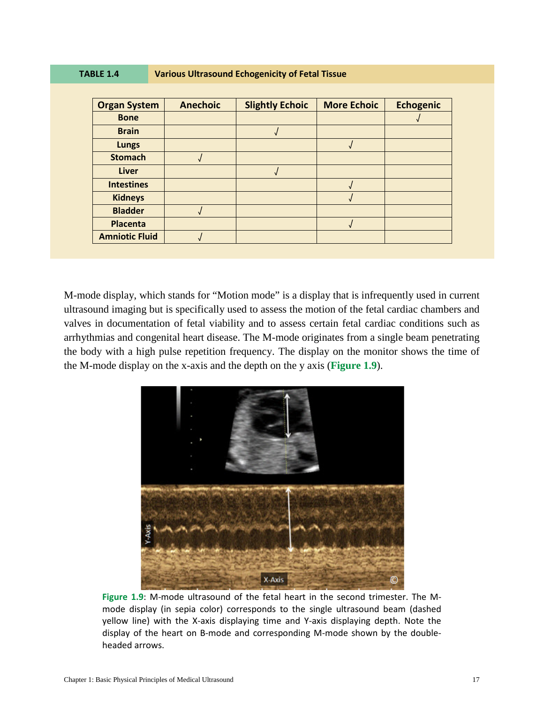| <b>TABLE 1.4</b> | <b>Various Ultrasound Echogenicity of Fetal Tissue</b> |  |
|------------------|--------------------------------------------------------|--|
|                  |                                                        |  |

| <b>Organ System</b>   | <b>Anechoic</b> | <b>Slightly Echoic</b> | <b>More Echoic</b> | <b>Echogenic</b> |
|-----------------------|-----------------|------------------------|--------------------|------------------|
| <b>Bone</b>           |                 |                        |                    |                  |
| <b>Brain</b>          |                 |                        |                    |                  |
| <b>Lungs</b>          |                 |                        |                    |                  |
| <b>Stomach</b>        |                 |                        |                    |                  |
| <b>Liver</b>          |                 |                        |                    |                  |
| <b>Intestines</b>     |                 |                        |                    |                  |
| <b>Kidneys</b>        |                 |                        |                    |                  |
| <b>Bladder</b>        |                 |                        |                    |                  |
| <b>Placenta</b>       |                 |                        |                    |                  |
| <b>Amniotic Fluid</b> |                 |                        |                    |                  |

M-mode display, which stands for "Motion mode" is a display that is infrequently used in current ultrasound imaging but is specifically used to assess the motion of the fetal cardiac chambers and valves in documentation of fetal viability and to assess certain fetal cardiac conditions such as arrhythmias and congenital heart disease. The M-mode originates from a single beam penetrating the body with a high pulse repetition frequency. The display on the monitor shows the time of the M-mode display on the x-axis and the depth on the y axis (**Figure 1.9**).



**Figure 1.9**: M-mode ultrasound of the fetal heart in the second trimester. The Mmode display (in sepia color) corresponds to the single ultrasound beam (dashed yellow line) with the X-axis displaying time and Y-axis displaying depth. Note the display of the heart on B-mode and corresponding M-mode shown by the doubleheaded arrows.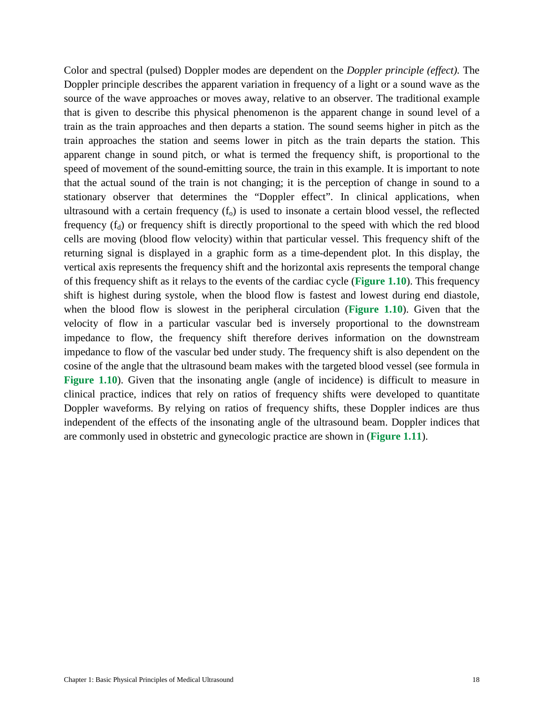Color and spectral (pulsed) Doppler modes are dependent on the *Doppler principle (effect).* The Doppler principle describes the apparent variation in frequency of a light or a sound wave as the source of the wave approaches or moves away, relative to an observer. The traditional example that is given to describe this physical phenomenon is the apparent change in sound level of a train as the train approaches and then departs a station. The sound seems higher in pitch as the train approaches the station and seems lower in pitch as the train departs the station. This apparent change in sound pitch, or what is termed the frequency shift, is proportional to the speed of movement of the sound-emitting source, the train in this example. It is important to note that the actual sound of the train is not changing; it is the perception of change in sound to a stationary observer that determines the "Doppler effect". In clinical applications, when ultrasound with a certain frequency  $(f_0)$  is used to insonate a certain blood vessel, the reflected frequency  $(f_d)$  or frequency shift is directly proportional to the speed with which the red blood cells are moving (blood flow velocity) within that particular vessel. This frequency shift of the returning signal is displayed in a graphic form as a time-dependent plot. In this display, the vertical axis represents the frequency shift and the horizontal axis represents the temporal change of this frequency shift as it relays to the events of the cardiac cycle (**Figure 1.10**). This frequency shift is highest during systole, when the blood flow is fastest and lowest during end diastole, when the blood flow is slowest in the peripheral circulation (**Figure 1.10**). Given that the velocity of flow in a particular vascular bed is inversely proportional to the downstream impedance to flow, the frequency shift therefore derives information on the downstream impedance to flow of the vascular bed under study. The frequency shift is also dependent on the cosine of the angle that the ultrasound beam makes with the targeted blood vessel (see formula in Figure 1.10). Given that the insonating angle (angle of incidence) is difficult to measure in clinical practice, indices that rely on ratios of frequency shifts were developed to quantitate Doppler waveforms. By relying on ratios of frequency shifts, these Doppler indices are thus independent of the effects of the insonating angle of the ultrasound beam. Doppler indices that are commonly used in obstetric and gynecologic practice are shown in (**Figure 1.11**).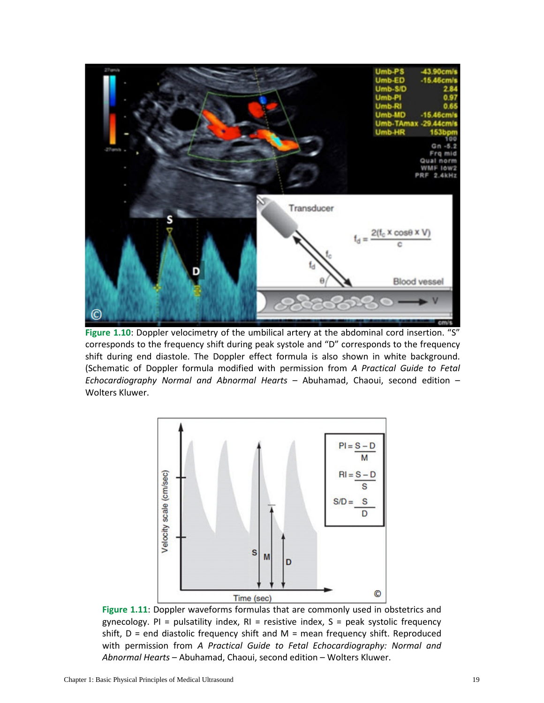

**Figure 1.10**: Doppler velocimetry of the umbilical artery at the abdominal cord insertion. "S" corresponds to the frequency shift during peak systole and "D" corresponds to the frequency shift during end diastole. The Doppler effect formula is also shown in white background. (Schematic of Doppler formula modified with permission from *A Practical Guide to Fetal Echocardiography Normal and Abnormal Hearts* – Abuhamad, Chaoui, second edition – Wolters Kluwer.



**Figure 1.11**: Doppler waveforms formulas that are commonly used in obstetrics and gynecology. PI = pulsatility index, RI = resistive index,  $S =$  peak systolic frequency shift,  $D =$  end diastolic frequency shift and  $M =$  mean frequency shift. Reproduced with permission from *A Practical Guide to Fetal Echocardiography: Normal and Abnormal Hearts* – Abuhamad, Chaoui, second edition – Wolters Kluwer.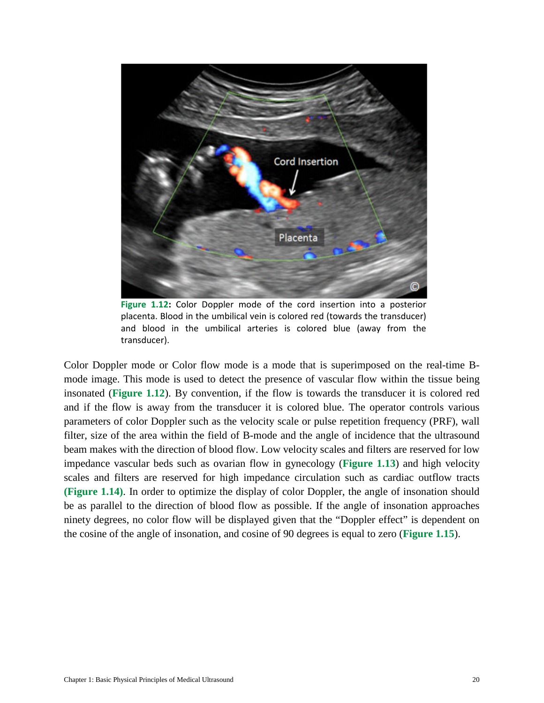

**Figure 1.12:** Color Doppler mode of the cord insertion into a posterior placenta. Blood in the umbilical vein is colored red (towards the transducer) and blood in the umbilical arteries is colored blue (away from the transducer).

Color Doppler mode or Color flow mode is a mode that is superimposed on the real-time Bmode image. This mode is used to detect the presence of vascular flow within the tissue being insonated (**Figure 1.12**). By convention, if the flow is towards the transducer it is colored red and if the flow is away from the transducer it is colored blue. The operator controls various parameters of color Doppler such as the velocity scale or pulse repetition frequency (PRF), wall filter, size of the area within the field of B-mode and the angle of incidence that the ultrasound beam makes with the direction of blood flow. Low velocity scales and filters are reserved for low impedance vascular beds such as ovarian flow in gynecology (**Figure 1.13**) and high velocity scales and filters are reserved for high impedance circulation such as cardiac outflow tracts **(Figure 1.14)**. In order to optimize the display of color Doppler, the angle of insonation should be as parallel to the direction of blood flow as possible. If the angle of insonation approaches ninety degrees, no color flow will be displayed given that the "Doppler effect" is dependent on the cosine of the angle of insonation, and cosine of 90 degrees is equal to zero (**Figure 1.15**).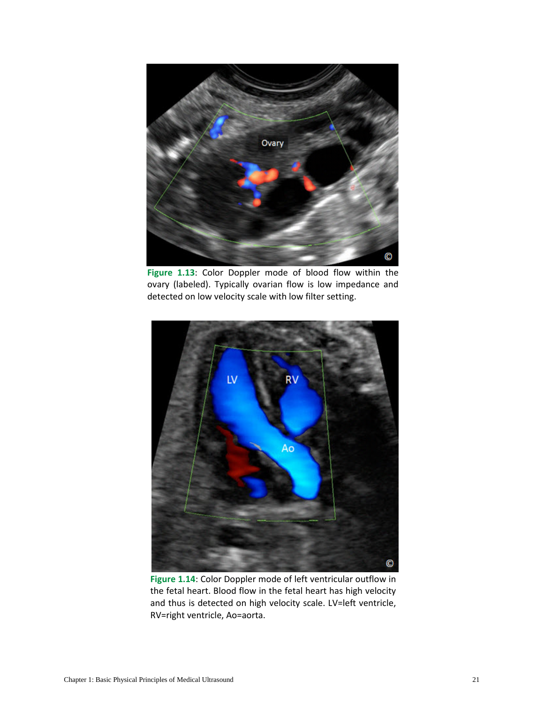

**Figure 1.13**: Color Doppler mode of blood flow within the ovary (labeled). Typically ovarian flow is low impedance and detected on low velocity scale with low filter setting.



**Figure 1.14**: Color Doppler mode of left ventricular outflow in the fetal heart. Blood flow in the fetal heart has high velocity and thus is detected on high velocity scale. LV=left ventricle, RV=right ventricle, Ao=aorta.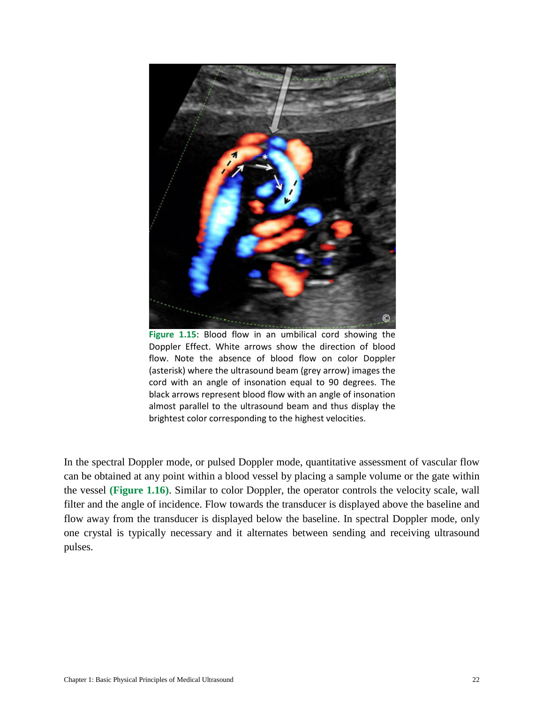

**Figure 1.15**: Blood flow in an umbilical cord showing the Doppler Effect. White arrows show the direction of blood flow. Note the absence of blood flow on color Doppler (asterisk) where the ultrasound beam (grey arrow) images the cord with an angle of insonation equal to 90 degrees. The black arrows represent blood flow with an angle of insonation almost parallel to the ultrasound beam and thus display the brightest color corresponding to the highest velocities.

In the spectral Doppler mode, or pulsed Doppler mode, quantitative assessment of vascular flow can be obtained at any point within a blood vessel by placing a sample volume or the gate within the vessel **(Figure 1.16)**. Similar to color Doppler, the operator controls the velocity scale, wall filter and the angle of incidence. Flow towards the transducer is displayed above the baseline and flow away from the transducer is displayed below the baseline. In spectral Doppler mode, only one crystal is typically necessary and it alternates between sending and receiving ultrasound pulses.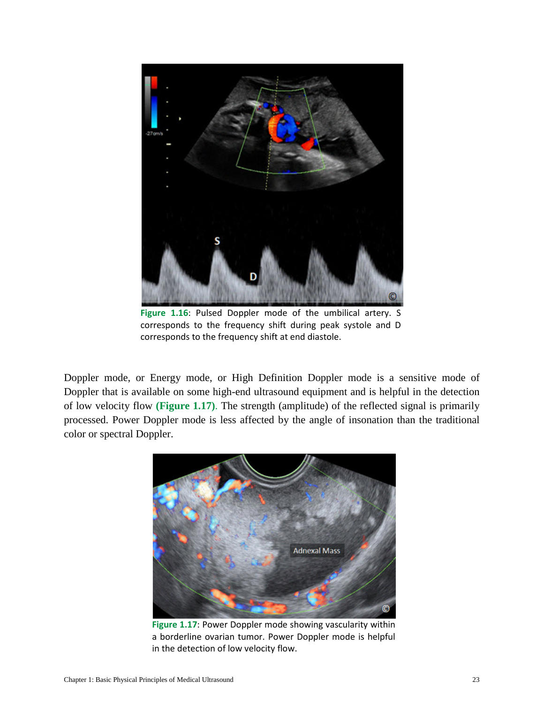

**Figure 1.16**: Pulsed Doppler mode of the umbilical artery. S corresponds to the frequency shift during peak systole and D corresponds to the frequency shift at end diastole.

Doppler mode, or Energy mode, or High Definition Doppler mode is a sensitive mode of Doppler that is available on some high-end ultrasound equipment and is helpful in the detection of low velocity flow **(Figure 1.17)**. The strength (amplitude) of the reflected signal is primarily processed. Power Doppler mode is less affected by the angle of insonation than the traditional color or spectral Doppler.



**Figure 1.17**: Power Doppler mode showing vascularity within a borderline ovarian tumor. Power Doppler mode is helpful in the detection of low velocity flow.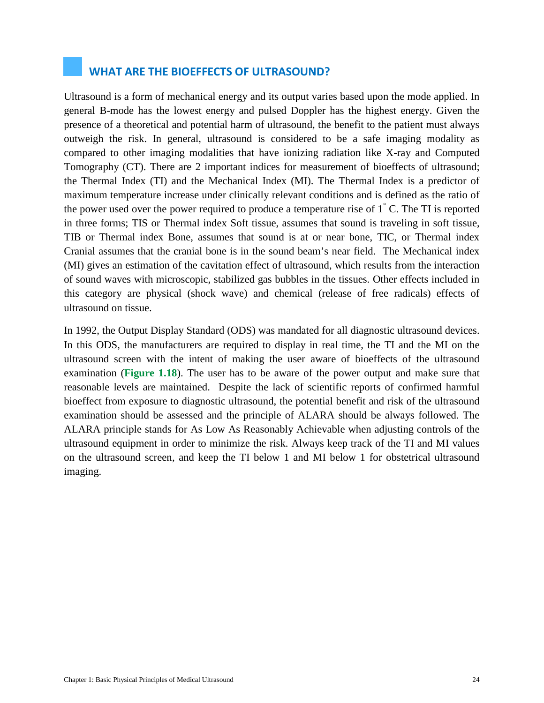## **WHAT ARE THE BIOEFFECTS OF ULTRASOUND?**

Ultrasound is a form of mechanical energy and its output varies based upon the mode applied. In general B-mode has the lowest energy and pulsed Doppler has the highest energy. Given the presence of a theoretical and potential harm of ultrasound, the benefit to the patient must always outweigh the risk. In general, ultrasound is considered to be a safe imaging modality as compared to other imaging modalities that have ionizing radiation like X-ray and Computed Tomography (CT). There are 2 important indices for measurement of bioeffects of ultrasound; the Thermal Index (TI) and the Mechanical Index (MI). The Thermal Index is a predictor of maximum temperature increase under clinically relevant conditions and is defined as the ratio of the power used over the power required to produce a temperature rise of  $1^{\degree}$  C. The TI is reported in three forms; TIS or Thermal index Soft tissue, assumes that sound is traveling in soft tissue, TIB or Thermal index Bone, assumes that sound is at or near bone, TIC, or Thermal index Cranial assumes that the cranial bone is in the sound beam's near field. The Mechanical index (MI) gives an estimation of the cavitation effect of ultrasound, which results from the interaction of sound waves with microscopic, stabilized gas bubbles in the tissues. Other effects included in this category are physical (shock wave) and chemical (release of free radicals) effects of ultrasound on tissue.

In 1992, the Output Display Standard (ODS) was mandated for all diagnostic ultrasound devices. In this ODS, the manufacturers are required to display in real time, the TI and the MI on the ultrasound screen with the intent of making the user aware of bioeffects of the ultrasound examination (**Figure 1.18**). The user has to be aware of the power output and make sure that reasonable levels are maintained. Despite the lack of scientific reports of confirmed harmful bioeffect from exposure to diagnostic ultrasound, the potential benefit and risk of the ultrasound examination should be assessed and the principle of ALARA should be always followed. The ALARA principle stands for As Low As Reasonably Achievable when adjusting controls of the ultrasound equipment in order to minimize the risk. Always keep track of the TI and MI values on the ultrasound screen, and keep the TI below 1 and MI below 1 for obstetrical ultrasound imaging.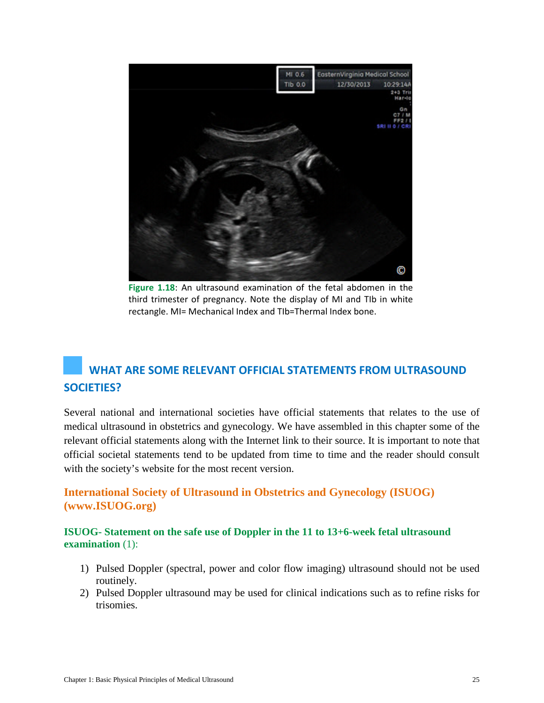

**Figure 1.18**: An ultrasound examination of the fetal abdomen in the third trimester of pregnancy. Note the display of MI and TIb in white rectangle. MI= Mechanical Index and TIb=Thermal Index bone.

# **WHAT ARE SOME RELEVANT OFFICIAL STATEMENTS FROM ULTRASOUND SOCIETIES?**

Several national and international societies have official statements that relates to the use of medical ultrasound in obstetrics and gynecology. We have assembled in this chapter some of the relevant official statements along with the Internet link to their source. It is important to note that official societal statements tend to be updated from time to time and the reader should consult with the society's website for the most recent version.

### **International Society of Ultrasound in Obstetrics and Gynecology (ISUOG) (www.ISUOG.org)**

#### **ISUOG- Statement on the safe use of Doppler in the 11 to 13+6-week fetal ultrasound examination** (1):

- 1) Pulsed Doppler (spectral, power and color flow imaging) ultrasound should not be used routinely.
- 2) Pulsed Doppler ultrasound may be used for clinical indications such as to refine risks for trisomies.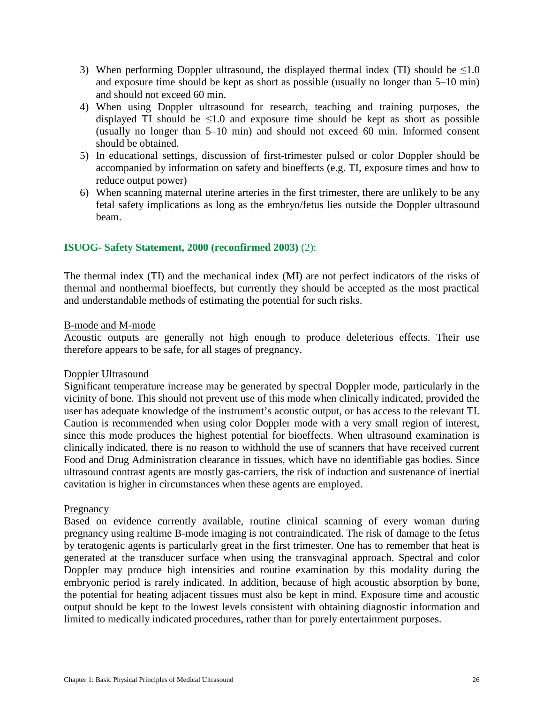- 3) When performing Doppler ultrasound, the displayed thermal index (TI) should be  $\leq 1.0$ and exposure time should be kept as short as possible (usually no longer than 5–10 min) and should not exceed 60 min.
- 4) When using Doppler ultrasound for research, teaching and training purposes, the displayed TI should be  $\leq 1.0$  and exposure time should be kept as short as possible (usually no longer than 5–10 min) and should not exceed 60 min. Informed consent should be obtained.
- 5) In educational settings, discussion of first-trimester pulsed or color Doppler should be accompanied by information on safety and bioeffects (e.g. TI, exposure times and how to reduce output power)
- 6) When scanning maternal uterine arteries in the first trimester, there are unlikely to be any fetal safety implications as long as the embryo/fetus lies outside the Doppler ultrasound beam.

#### **ISUOG- Safety Statement, 2000 (reconfirmed 2003)** (2):

The thermal index (TI) and the mechanical index (MI) are not perfect indicators of the risks of thermal and nonthermal bioeffects, but currently they should be accepted as the most practical and understandable methods of estimating the potential for such risks.

#### B-mode and M-mode

Acoustic outputs are generally not high enough to produce deleterious effects. Their use therefore appears to be safe, for all stages of pregnancy.

#### Doppler Ultrasound

Significant temperature increase may be generated by spectral Doppler mode, particularly in the vicinity of bone. This should not prevent use of this mode when clinically indicated, provided the user has adequate knowledge of the instrument's acoustic output, or has access to the relevant TI. Caution is recommended when using color Doppler mode with a very small region of interest, since this mode produces the highest potential for bioeffects. When ultrasound examination is clinically indicated, there is no reason to withhold the use of scanners that have received current Food and Drug Administration clearance in tissues, which have no identifiable gas bodies. Since ultrasound contrast agents are mostly gas-carriers, the risk of induction and sustenance of inertial cavitation is higher in circumstances when these agents are employed.

#### Pregnancy

Based on evidence currently available, routine clinical scanning of every woman during pregnancy using realtime B-mode imaging is not contraindicated. The risk of damage to the fetus by teratogenic agents is particularly great in the first trimester. One has to remember that heat is generated at the transducer surface when using the transvaginal approach. Spectral and color Doppler may produce high intensities and routine examination by this modality during the embryonic period is rarely indicated. In addition, because of high acoustic absorption by bone, the potential for heating adjacent tissues must also be kept in mind. Exposure time and acoustic output should be kept to the lowest levels consistent with obtaining diagnostic information and limited to medically indicated procedures, rather than for purely entertainment purposes.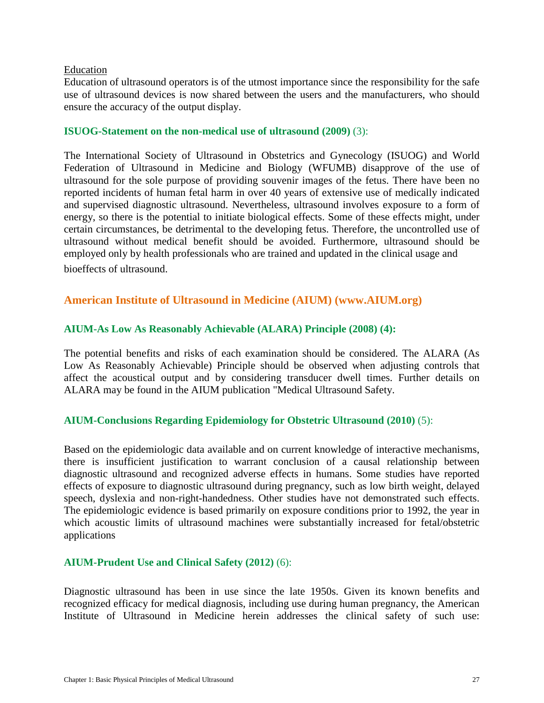#### Education

Education of ultrasound operators is of the utmost importance since the responsibility for the safe use of ultrasound devices is now shared between the users and the manufacturers, who should ensure the accuracy of the output display.

#### **ISUOG-Statement on the non-medical use of ultrasound (2009)** (3):

The International Society of Ultrasound in Obstetrics and Gynecology (ISUOG) and World Federation of Ultrasound in Medicine and Biology (WFUMB) disapprove of the use of ultrasound for the sole purpose of providing souvenir images of the fetus. There have been no reported incidents of human fetal harm in over 40 years of extensive use of medically indicated and supervised diagnostic ultrasound. Nevertheless, ultrasound involves exposure to a form of energy, so there is the potential to initiate biological effects. Some of these effects might, under certain circumstances, be detrimental to the developing fetus. Therefore, the uncontrolled use of ultrasound without medical benefit should be avoided. Furthermore, ultrasound should be employed only by health professionals who are trained and updated in the clinical usage and bioeffects of ultrasound.

### **American Institute of Ultrasound in Medicine (AIUM) (www.AIUM.org)**

#### **AIUM-As Low As Reasonably Achievable (ALARA) Principle (2008) (4):**

The potential benefits and risks of each examination should be considered. The ALARA (As Low As Reasonably Achievable) Principle should be observed when adjusting controls that affect the acoustical output and by considering transducer dwell times. Further details on ALARA may be found in the AIUM publication "Medical Ultrasound Safety.

#### **AIUM-Conclusions Regarding Epidemiology for Obstetric Ultrasound (2010)** (5):

Based on the epidemiologic data available and on current knowledge of interactive mechanisms, there is insufficient justification to warrant conclusion of a causal relationship between diagnostic ultrasound and recognized adverse effects in humans. Some studies have reported effects of exposure to diagnostic ultrasound during pregnancy, such as low birth weight, delayed speech, dyslexia and non-right-handedness. Other studies have not demonstrated such effects. The epidemiologic evidence is based primarily on exposure conditions prior to 1992, the year in which acoustic limits of ultrasound machines were substantially increased for fetal/obstetric applications

#### **AIUM-Prudent Use and Clinical Safety (2012)** (6):

Diagnostic ultrasound has been in use since the late 1950s. Given its known benefits and recognized efficacy for medical diagnosis, including use during human pregnancy, the American Institute of Ultrasound in Medicine herein addresses the clinical safety of such use: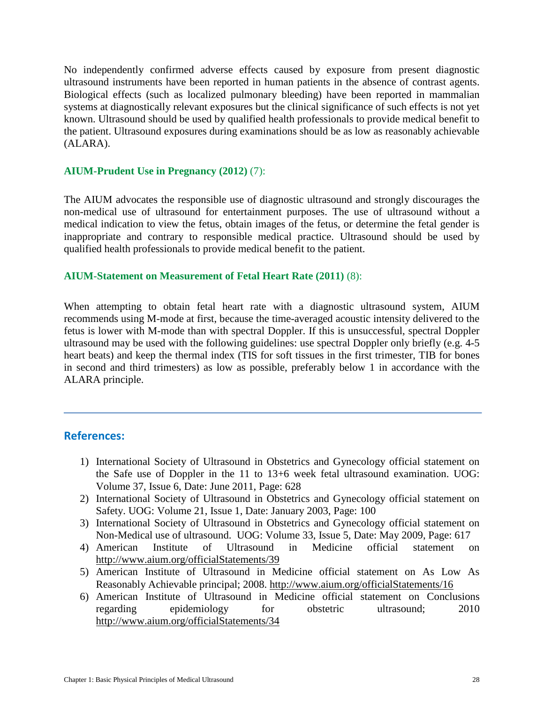No independently confirmed adverse effects caused by exposure from present diagnostic ultrasound instruments have been reported in human patients in the absence of contrast agents. Biological effects (such as localized pulmonary bleeding) have been reported in mammalian systems at diagnostically relevant exposures but the clinical significance of such effects is not yet known. Ultrasound should be used by qualified health professionals to provide medical benefit to the patient. Ultrasound exposures during examinations should be as low as reasonably achievable (ALARA).

#### **AIUM-Prudent Use in Pregnancy (2012)** (7):

The AIUM advocates the responsible use of diagnostic ultrasound and strongly discourages the non-medical use of ultrasound for entertainment purposes. The use of ultrasound without a medical indication to view the fetus, obtain images of the fetus, or determine the fetal gender is inappropriate and contrary to responsible medical practice. Ultrasound should be used by qualified health professionals to provide medical benefit to the patient.

#### **AIUM-Statement on Measurement of Fetal Heart Rate (2011)** (8):

When attempting to obtain fetal heart rate with a diagnostic ultrasound system, AIUM recommends using M-mode at first, because the time-averaged acoustic intensity delivered to the fetus is lower with M-mode than with spectral Doppler. If this is unsuccessful, spectral Doppler ultrasound may be used with the following guidelines: use spectral Doppler only briefly (e.g. 4-5 heart beats) and keep the thermal index (TIS for soft tissues in the first trimester, TIB for bones in second and third trimesters) as low as possible, preferably below 1 in accordance with the ALARA principle.

#### **References:**

- 1) International Society of Ultrasound in Obstetrics and Gynecology official statement on the Safe use of Doppler in the 11 to 13+6 week fetal ultrasound examination. UOG: Volume 37, Issue 6, Date: June 2011, Page: 628
- 2) International Society of Ultrasound in Obstetrics and Gynecology official statement on Safety. UOG: Volume 21, Issue 1, Date: January 2003, Page: 100
- 3) International Society of Ultrasound in Obstetrics and Gynecology official statement on Non-Medical use of ultrasound. UOG: Volume 33, Issue 5, Date: May 2009, Page: 617
- 4) American Institute of Ultrasound in Medicine official statement on http://www.aium.org/officialStatements/39
- 5) American Institute of Ultrasound in Medicine official statement on As Low As Reasonably Achievable principal; 2008. http://www.aium.org/officialStatements/16
- 6) American Institute of Ultrasound in Medicine official statement on Conclusions regarding epidemiology for obstetric ultrasound; 2010 http://www.aium.org/officialStatements/34